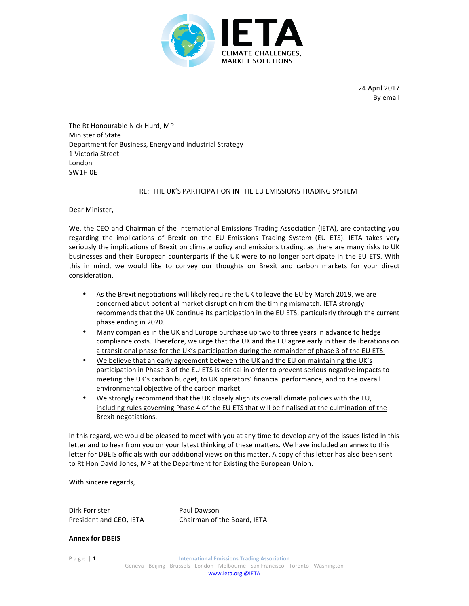

24 April 2017 By email

The Rt Honourable Nick Hurd, MP **Minister of State** Department for Business, Energy and Industrial Strategy 1 Victoria Street London SW1H OET

## RE: THE UK'S PARTICIPATION IN THE EU EMISSIONS TRADING SYSTEM

Dear Minister,

We, the CEO and Chairman of the International Emissions Trading Association (IETA), are contacting you regarding the implications of Brexit on the EU Emissions Trading System (EU ETS). IETA takes very seriously the implications of Brexit on climate policy and emissions trading, as there are many risks to UK businesses and their European counterparts if the UK were to no longer participate in the EU ETS. With this in mind, we would like to convey our thoughts on Brexit and carbon markets for your direct consideration.

- As the Brexit negotiations will likely require the UK to leave the EU by March 2019, we are concerned about potential market disruption from the timing mismatch. IETA strongly recommends that the UK continue its participation in the EU ETS, particularly through the current phase ending in 2020.
- Many companies in the UK and Europe purchase up two to three years in advance to hedge compliance costs. Therefore, we urge that the UK and the EU agree early in their deliberations on a transitional phase for the UK's participation during the remainder of phase 3 of the EU ETS.
- We believe that an early agreement between the UK and the EU on maintaining the UK's participation in Phase 3 of the EU ETS is critical in order to prevent serious negative impacts to meeting the UK's carbon budget, to UK operators' financial performance, and to the overall environmental objective of the carbon market.
- We strongly recommend that the UK closely align its overall climate policies with the EU, including rules governing Phase 4 of the EU ETS that will be finalised at the culmination of the Brexit negotiations.

In this regard, we would be pleased to meet with you at any time to develop any of the issues listed in this letter and to hear from you on your latest thinking of these matters. We have included an annex to this letter for DBEIS officials with our additional views on this matter. A copy of this letter has also been sent to Rt Hon David Jones, MP at the Department for Existing the European Union.

With sincere regards,

Dirk Forrister **Paul Dawson** President and CEO, IETA Chairman of the Board, IETA

**Annex for DBEIS**